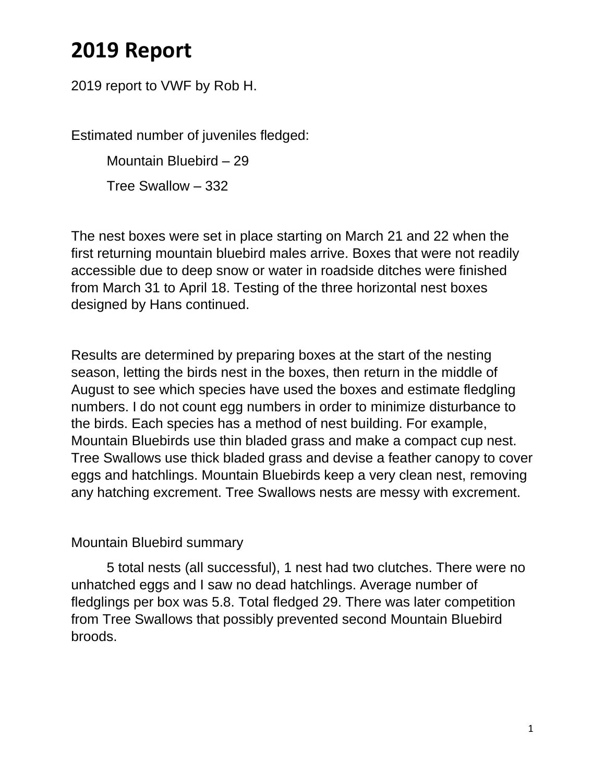## **2019 Report**

2019 report to VWF by Rob H.

Estimated number of juveniles fledged:

Mountain Bluebird – 29

Tree Swallow – 332

The nest boxes were set in place starting on March 21 and 22 when the first returning mountain bluebird males arrive. Boxes that were not readily accessible due to deep snow or water in roadside ditches were finished from March 31 to April 18. Testing of the three horizontal nest boxes designed by Hans continued.

Results are determined by preparing boxes at the start of the nesting season, letting the birds nest in the boxes, then return in the middle of August to see which species have used the boxes and estimate fledgling numbers. I do not count egg numbers in order to minimize disturbance to the birds. Each species has a method of nest building. For example, Mountain Bluebirds use thin bladed grass and make a compact cup nest. Tree Swallows use thick bladed grass and devise a feather canopy to cover eggs and hatchlings. Mountain Bluebirds keep a very clean nest, removing any hatching excrement. Tree Swallows nests are messy with excrement.

## Mountain Bluebird summary

5 total nests (all successful), 1 nest had two clutches. There were no unhatched eggs and I saw no dead hatchlings. Average number of fledglings per box was 5.8. Total fledged 29. There was later competition from Tree Swallows that possibly prevented second Mountain Bluebird broods.